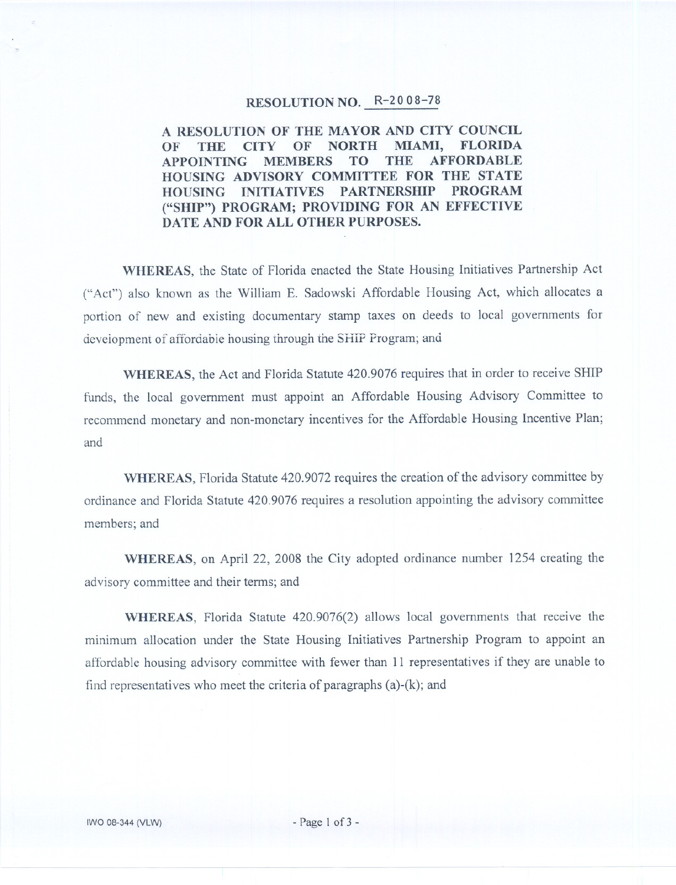## RESOLUTION NO. R-20 08-78

A RESOLUTION OF THE MAYOR AND CITY COUNCIL OF THE CITY OF NORTH MIAMI, FLORIDA<br>APPOINTING MEMBERS TO THE AFFORDABLE APPOINTING MEMBERS HOUSING ADVISORY COMMITTEE FOR THE STATE HOUSING INITIATIVES PARTNERSHIP PROGRAM ("SHIP") PROGRAM; PROVIDING FOR AN EFFECTIVE DATE AND FOR ALL OTHER PURPOSES.

WHEREAS, the State of Florida enacted the State Housing Initiatives Partnership Act ("Act") also known as the William E. Sadowski Affordable Housing Act, which allocates a portion of new and existing documentary stamp taxes on deeds to local governments for development of affordable housing through the SHIP Program; and

WHEREAS, the Act and Florida Statute 420.9076 requires that in order to receive SHIP funds, the local government must appoint an Affordable Housing Advisory Committee to recommend monetary and non-monetary incentives for the Affordable Housing Incentive Plan; and

WHEREAS, Florida Statute 420.9072 requires the creation of the advisory committee by ordinance and Florida Statute 420.9076 requires a resolution appointing the advisory committee members; and

WHEREAS, on April 22, 2008 the City adopted ordinance number 1254 creating the advisory committee and their terms; and

WHEREAS, Florida Statute 420.9076(2) allows local governments that receive the minimum allocation under the State Housing Initiatives Partnership Program to appoint an affordable housing advisory committee with fewer than 11 representatives if they are unable to find representatives who meet the criteria of paragraphs  $(a)-(k)$ ; and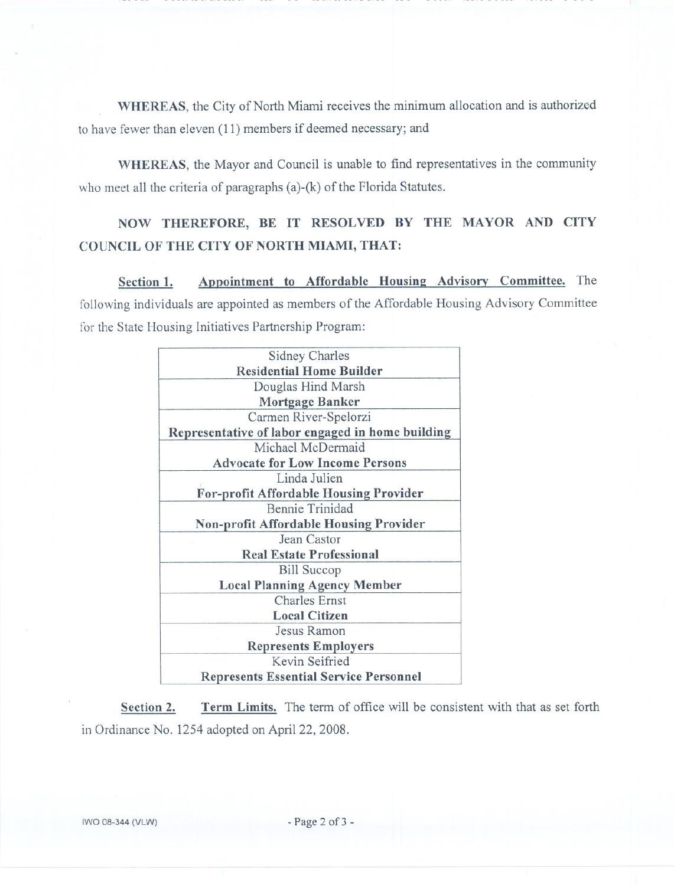WHEREAS, the City of North Miami receives the minimum allocation and is authorized to have fewer than eleven (11) members if deemed necessary; and

WHEREAS, the Mayor and Council is unable to find representatives in the community who meet all the criteria of paragraphs (a)-(k) of the Florida Statutes.

## NOW THEREFORE, BE IT RESOLVED BY THE MAYOR AND CITY COUNCIL OF THE CITY OF NORTH MIAMI, THAT:

Section 1. Appointment to Affordable Housing Advisory Committee. The following individuals are appointed as members of the Affordable Housing Advisory Committee for the State Housing Initiatives Partnership Program:

| <b>Sidney Charles</b>                            |  |  |  |  |
|--------------------------------------------------|--|--|--|--|
|                                                  |  |  |  |  |
| <b>Residential Home Builder</b>                  |  |  |  |  |
| Douglas Hind Marsh                               |  |  |  |  |
| <b>Mortgage Banker</b>                           |  |  |  |  |
| Carmen River-Spelorzi                            |  |  |  |  |
| Representative of labor engaged in home building |  |  |  |  |
| Michael McDermaid                                |  |  |  |  |
| <b>Advocate for Low Income Persons</b>           |  |  |  |  |
| Linda Julien                                     |  |  |  |  |
| <b>For-profit Affordable Housing Provider</b>    |  |  |  |  |
| <b>Bennie Trinidad</b>                           |  |  |  |  |
| <b>Non-profit Affordable Housing Provider</b>    |  |  |  |  |
| Jean Castor                                      |  |  |  |  |
| <b>Real Estate Professional</b>                  |  |  |  |  |
| <b>Bill Succop</b>                               |  |  |  |  |
| <b>Local Planning Agency Member</b>              |  |  |  |  |
| <b>Charles Ernst</b>                             |  |  |  |  |
| <b>Local Citizen</b>                             |  |  |  |  |
| Jesus Ramon                                      |  |  |  |  |
| <b>Represents Employers</b>                      |  |  |  |  |
| Kevin Seifried                                   |  |  |  |  |
| <b>Represents Essential Service Personnel</b>    |  |  |  |  |

Section 2. Term Limits. The term of office will be consistent with that as set forth in Ordinance No. 1254 adopted on April 22, 2008.